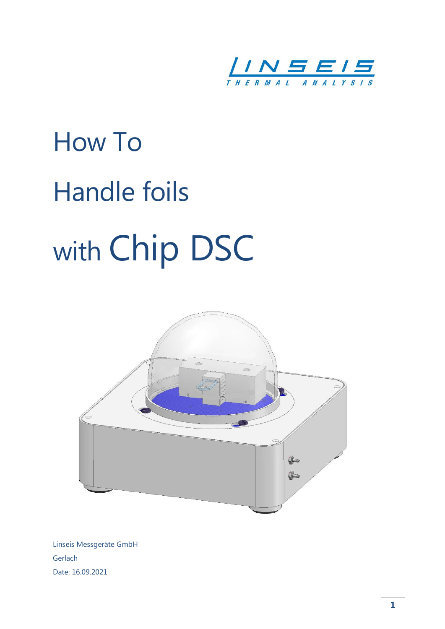

# How To Handle foils with Chip DSC



Linseis Messgeräte GmbH Gerlach Date: 16.09.2021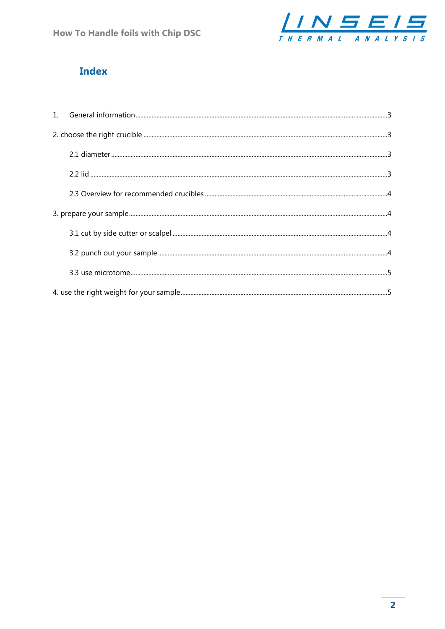

## **Index**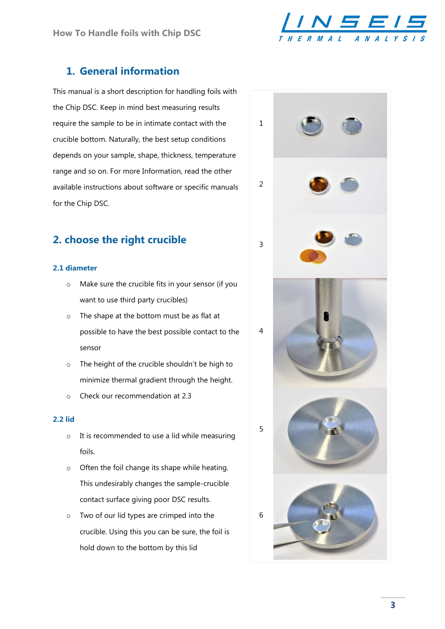

## 1. General information

This manual is a short description for handling foils with the Chip DSC. Keep in mind best measuring results require the sample to be in intimate contact with the crucible bottom. Naturally, the best setup conditions depends on your sample, shape, thickness, temperature range and so on. For more Information, read the other available instructions about software or specific manuals for the Chip DSC.

## 2. choose the right crucible

#### 2.1 diameter

- o Make sure the crucible fits in your sensor (if you want to use third party crucibles)
- o The shape at the bottom must be as flat at possible to have the best possible contact to the sensor
- o The height of the crucible shouldn't be high to minimize thermal gradient through the height.
- o Check our recommendation at 2.3

#### 2.2 lid

- o It is recommended to use a lid while measuring foils.
- o Often the foil change its shape while heating. This undesirably changes the sample-crucible contact surface giving poor DSC results.
- o Two of our lid types are crimped into the crucible. Using this you can be sure, the foil is hold down to the bottom by this lid

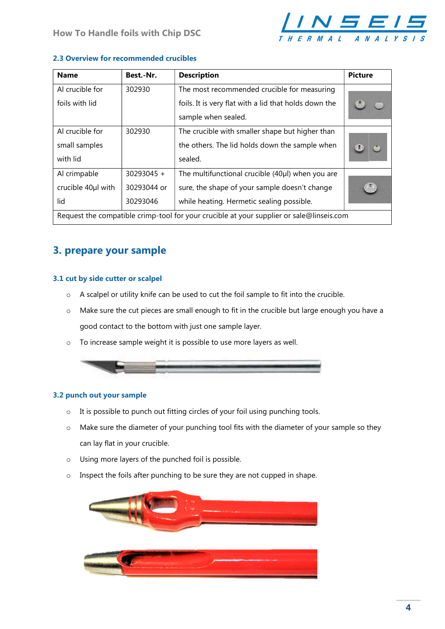

#### 2.3 Overview for recommended crucibles

| <b>Name</b>                                                                              | Best.-Nr.   | <b>Description</b>                                    | <b>Picture</b> |  |  |
|------------------------------------------------------------------------------------------|-------------|-------------------------------------------------------|----------------|--|--|
| Al crucible for                                                                          | 302930      | The most recommended crucible for measuring           |                |  |  |
| foils with lid                                                                           |             | foils. It is very flat with a lid that holds down the |                |  |  |
|                                                                                          |             | sample when sealed.                                   |                |  |  |
| Al crucible for                                                                          | 302930      | The crucible with smaller shape but higher than       |                |  |  |
| small samples                                                                            |             | the others. The lid holds down the sample when        |                |  |  |
| with lid                                                                                 |             | sealed.                                               |                |  |  |
| Al crimpable                                                                             | 30293045 +  | The multifunctional crucible (40µl) when you are      |                |  |  |
| crucible 40µl with                                                                       | 30293044 or | sure, the shape of your sample doesn't change         |                |  |  |
| lid                                                                                      | 30293046    | while heating. Hermetic sealing possible.             |                |  |  |
| Request the compatible crimp-tool for your crucible at your supplier or sale@linseis.com |             |                                                       |                |  |  |

## 3. prepare your sample

#### 3.1 cut by side cutter or scalpel

- o A scalpel or utility knife can be used to cut the foil sample to fit into the crucible.
- o Make sure the cut pieces are small enough to fit in the crucible but large enough you have a good contact to the bottom with just one sample layer.
- o To increase sample weight it is possible to use more layers as well.



#### 3.2 punch out your sample

- o It is possible to punch out fitting circles of your foil using punching tools.
- o Make sure the diameter of your punching tool fits with the diameter of your sample so they can lay flat in your crucible.
- o Using more layers of the punched foil is possible.
- o Inspect the foils after punching to be sure they are not cupped in shape.